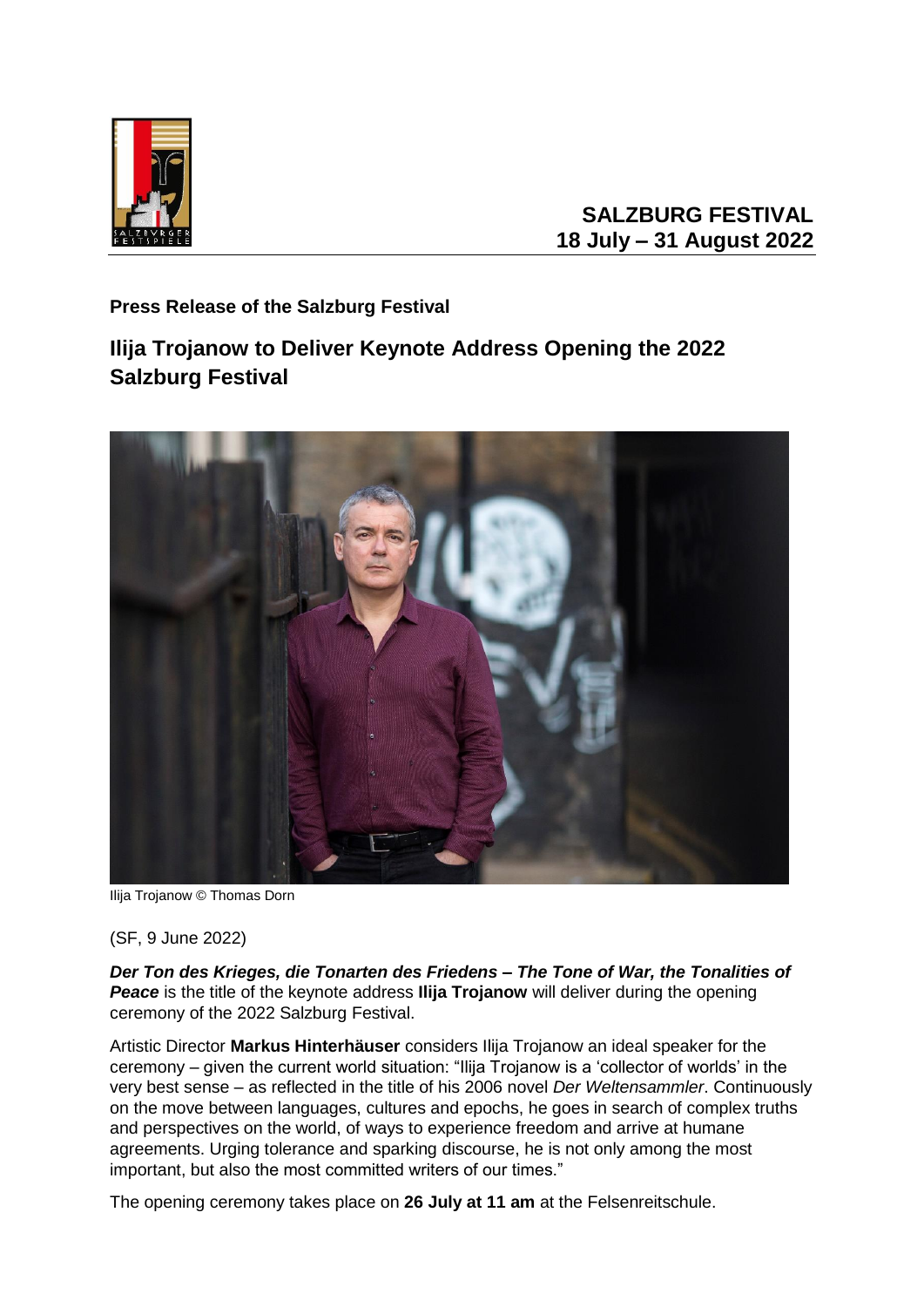

## **SALZBURG FESTIVAL 18 July – 31 August 2022**

**Press Release of the Salzburg Festival** 

## **Ilija Trojanow to Deliver Keynote Address Opening the 2022 Salzburg Festival**



Ilija Trojanow © Thomas Dorn

(SF, 9 June 2022)

*Der Ton des Krieges, die Tonarten des Friedens – The Tone of War, the Tonalities of*  **Peace** is the title of the keynote address **Ilija Trojanow** will deliver during the opening ceremony of the 2022 Salzburg Festival.

Artistic Director **Markus Hinterhäuser** considers Ilija Trojanow an ideal speaker for the ceremony – given the current world situation: "Ilija Trojanow is a 'collector of worlds' in the very best sense – as reflected in the title of his 2006 novel *Der Weltensammler*. Continuously on the move between languages, cultures and epochs, he goes in search of complex truths and perspectives on the world, of ways to experience freedom and arrive at humane agreements. Urging tolerance and sparking discourse, he is not only among the most important, but also the most committed writers of our times."

The opening ceremony takes place on **26 July at 11 am** at the Felsenreitschule.